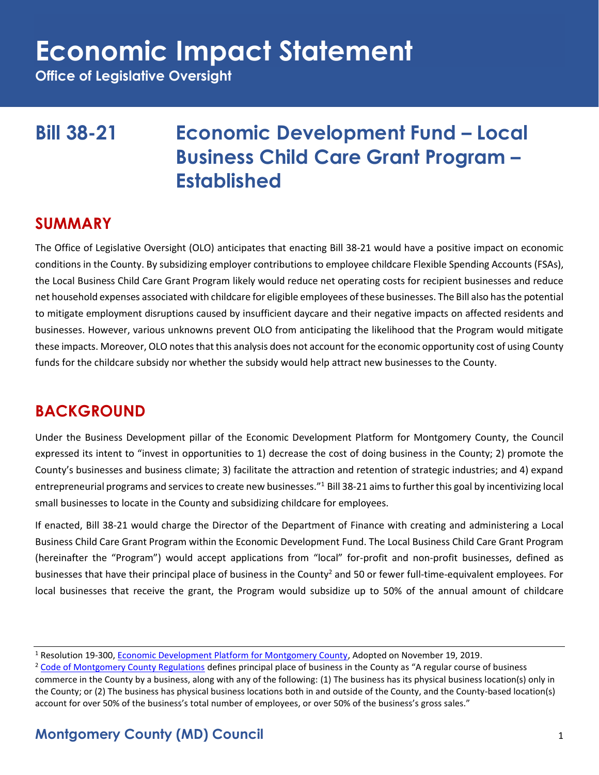**Office of Legislative Oversight**

### **Bill 38-21 Economic Development Fund – Local Business Child Care Grant Program – Established**

#### **SUMMARY**

The Office of Legislative Oversight (OLO) anticipates that enacting Bill 38-21 would have a positive impact on economic conditions in the County. By subsidizing employer contributions to employee childcare Flexible Spending Accounts (FSAs), the Local Business Child Care Grant Program likely would reduce net operating costs for recipient businesses and reduce net household expenses associated with childcare for eligible employees of these businesses. The Bill also has the potential to mitigate employment disruptions caused by insufficient daycare and their negative impacts on affected residents and businesses. However, various unknowns prevent OLO from anticipating the likelihood that the Program would mitigate these impacts. Moreover, OLO notes that this analysis does not account for the economic opportunity cost of using County funds for the childcare subsidy nor whether the subsidy would help attract new businesses to the County.

### **BACKGROUND**

Under the Business Development pillar of the Economic Development Platform for Montgomery County, the Council expressed its intent to "invest in opportunities to 1) decrease the cost of doing business in the County; 2) promote the County's businesses and business climate; 3) facilitate the attraction and retention of strategic industries; and 4) expand entrepreneurial programs and services to create new businesses."<sup>1</sup> Bill 38-21 aims to further this goal by incentivizing local small businesses to locate in the County and subsidizing childcare for employees.

If enacted, Bill 38-21 would charge the Director of the Department of Finance with creating and administering a Local Business Child Care Grant Program within the Economic Development Fund. The Local Business Child Care Grant Program (hereinafter the "Program") would accept applications from "local" for-profit and non-profit businesses, defined as businesses that have their principal place of business in the County<sup>2</sup> and 50 or fewer full-time-equivalent employees. For local businesses that receive the grant, the Program would subsidize up to 50% of the annual amount of childcare

#### **Montgomery County (MD) Council** 1

<sup>1</sup> Resolution 19-300, [Economic Development Platform for Montgomery County,](https://www.montgomerycountymd.gov/COUNCIL/Resources/Files/2019/EDPlatformPlatformFinal.pdf) Adopted on November 19, 2019.

<sup>&</sup>lt;sup>2</sup> [Code of Montgomery County Regulations](https://codelibrary.amlegal.com/codes/montgomerycounty/latest/montgomeryco_md_comcor/0-0-0-92230) defines principal place of business in the County as "A regular course of business commerce in the County by a business, along with any of the following: (1) The business has its physical business location(s) only in the County; or (2) The business has physical business locations both in and outside of the County, and the County-based location(s) account for over 50% of the business's total number of employees, or over 50% of the business's gross sales."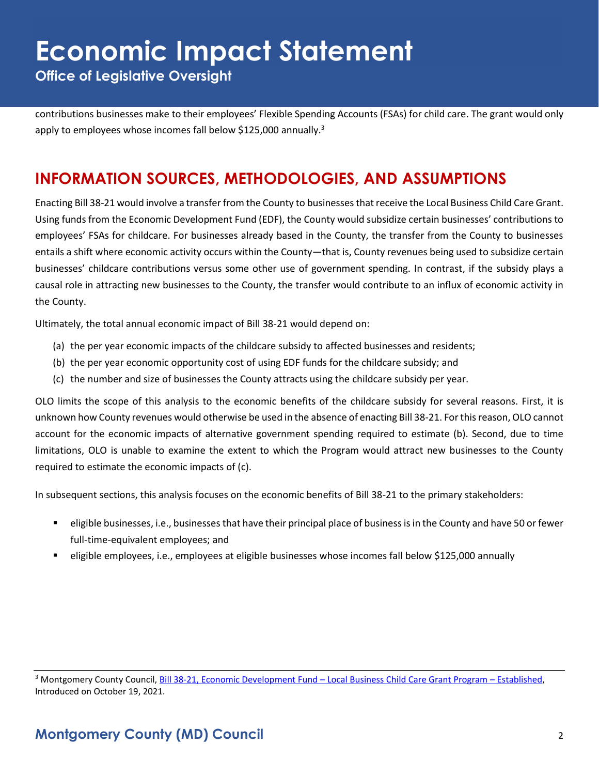**Office of Legislative Oversight**

contributions businesses make to their employees' Flexible Spending Accounts (FSAs) for child care. The grant would only apply to employees whose incomes fall below \$125,000 annually.<sup>3</sup>

### **INFORMATION SOURCES, METHODOLOGIES, AND ASSUMPTIONS**

Enacting Bill 38-21 would involve a transfer from the County to businesses that receive the Local Business Child Care Grant. Using funds from the Economic Development Fund (EDF), the County would subsidize certain businesses' contributions to employees' FSAs for childcare. For businesses already based in the County, the transfer from the County to businesses entails a shift where economic activity occurs within the County—that is, County revenues being used to subsidize certain businesses' childcare contributions versus some other use of government spending. In contrast, if the subsidy plays a causal role in attracting new businesses to the County, the transfer would contribute to an influx of economic activity in the County.

Ultimately, the total annual economic impact of Bill 38-21 would depend on:

- (a) the per year economic impacts of the childcare subsidy to affected businesses and residents;
- (b) the per year economic opportunity cost of using EDF funds for the childcare subsidy; and
- (c) the number and size of businesses the County attracts using the childcare subsidy per year.

OLO limits the scope of this analysis to the economic benefits of the childcare subsidy for several reasons. First, it is unknown how County revenues would otherwise be used in the absence of enacting Bill 38-21. For this reason, OLO cannot account for the economic impacts of alternative government spending required to estimate (b). Second, due to time limitations, OLO is unable to examine the extent to which the Program would attract new businesses to the County required to estimate the economic impacts of (c).

In subsequent sections, this analysis focuses on the economic benefits of Bill 38-21 to the primary stakeholders:

- eligible businesses, i.e., businesses that have their principal place of business is in the County and have 50 or fewer full-time-equivalent employees; and
- eligible employees, i.e., employees at eligible businesses whose incomes fall below \$125,000 annually

<sup>3</sup> Montgomery County Council, [Bill 38-21, Economic Development Fund](https://www.montgomerycountymd.gov/council/Resources/Files/agenda/col/2021/20211019/20211019_10C.pdf) – Local Business Child Care Grant Program – Established, Introduced on October 19, 2021.

#### **Montgomery County (MD) Council** 2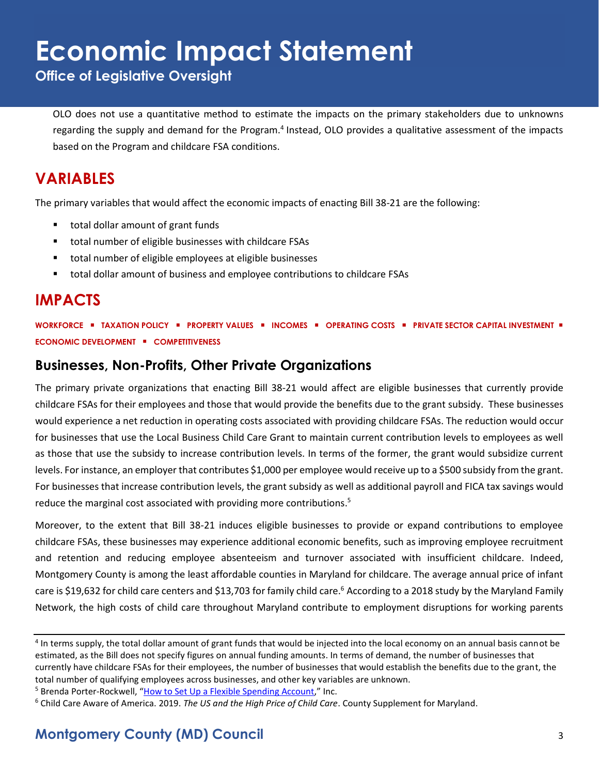**Office of Legislative Oversight**

OLO does not use a quantitative method to estimate the impacts on the primary stakeholders due to unknowns regarding the supply and demand for the Program.<sup>4</sup> Instead, OLO provides a qualitative assessment of the impacts based on the Program and childcare FSA conditions.

#### **VARIABLES**

The primary variables that would affect the economic impacts of enacting Bill 38-21 are the following:

- total dollar amount of grant funds
- total number of eligible businesses with childcare FSAs
- total number of eligible employees at eligible businesses
- total dollar amount of business and employee contributions to childcare FSAs

#### **IMPACTS**

**WORKFORCE** ▪ **TAXATION POLICY** ▪ **PROPERTY VALUES** ▪ **INCOMES** ▪ **OPERATING COSTS** ▪ **PRIVATE SECTOR CAPITAL INVESTMENT** ▪ **ECONOMIC DEVELOPMENT** ▪ **COMPETITIVENESS**

#### **Businesses, Non-Profits, Other Private Organizations**

The primary private organizations that enacting Bill 38-21 would affect are eligible businesses that currently provide childcare FSAs for their employees and those that would provide the benefits due to the grant subsidy. These businesses would experience a net reduction in operating costs associated with providing childcare FSAs. The reduction would occur for businesses that use the Local Business Child Care Grant to maintain current contribution levels to employees as well as those that use the subsidy to increase contribution levels. In terms of the former, the grant would subsidize current levels. For instance, an employer that contributes \$1,000 per employee would receive up to a \$500 subsidy from the grant. For businesses that increase contribution levels, the grant subsidy as well as additional payroll and FICA tax savings would reduce the marginal cost associated with providing more contributions.<sup>5</sup>

Moreover, to the extent that Bill 38-21 induces eligible businesses to provide or expand contributions to employee childcare FSAs, these businesses may experience additional economic benefits, such as improving employee recruitment and retention and reducing employee absenteeism and turnover associated with insufficient childcare. Indeed, Montgomery County is among the least affordable counties in Maryland for childcare. The average annual price of infant care is \$19,632 for child care centers and \$13,703 for family child care.<sup>6</sup> According to a 2018 study by the Maryland Family Network, the high costs of child care throughout Maryland contribute to employment disruptions for working parents

<sup>&</sup>lt;sup>4</sup> In terms supply, the total dollar amount of grant funds that would be injected into the local economy on an annual basis cannot be estimated, as the Bill does not specify figures on annual funding amounts. In terms of demand, the number of businesses that currently have childcare FSAs for their employees, the number of businesses that would establish the benefits due to the grant, the total number of qualifying employees across businesses, and other key variables are unknown.

<sup>&</sup>lt;sup>5</sup> Brenda Porter-Rockwell, "[How to Set Up a Flexible Spending Account](https://www.inc.com/guides/2010/04/setting-up-a-flexible-spending-plan.html)," Inc.

<sup>6</sup> Child Care Aware of America. 2019. *The US and the High Price of Child Care*. County Supplement for Maryland.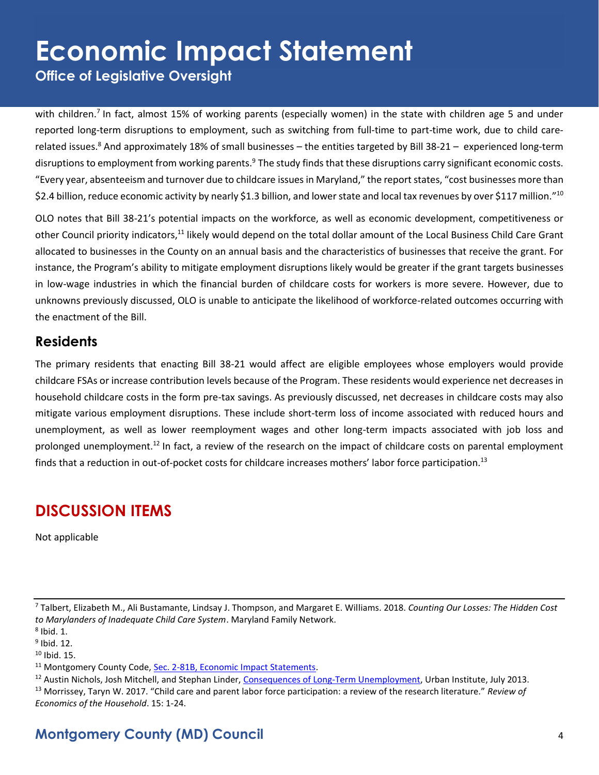**Office of Legislative Oversight**

with children.<sup>7</sup> In fact, almost 15% of working parents (especially women) in the state with children age 5 and under reported long-term disruptions to employment, such as switching from full-time to part-time work, due to child carerelated issues.<sup>8</sup> And approximately 18% of small businesses – the entities targeted by Bill 38-21 – experienced long-term disruptions to employment from working parents.<sup>9</sup> The study finds that these disruptions carry significant economic costs. "Every year, absenteeism and turnover due to childcare issues in Maryland," the report states, "cost businesses more than \$2.4 billion, reduce economic activity by nearly \$1.3 billion, and lower state and local tax revenues by over \$117 million." $^{10}$ 

OLO notes that Bill 38-21's potential impacts on the workforce, as well as economic development, competitiveness or other Council priority indicators,<sup>11</sup> likely would depend on the total dollar amount of the Local Business Child Care Grant allocated to businesses in the County on an annual basis and the characteristics of businesses that receive the grant. For instance, the Program's ability to mitigate employment disruptions likely would be greater if the grant targets businesses in low-wage industries in which the financial burden of childcare costs for workers is more severe. However, due to unknowns previously discussed, OLO is unable to anticipate the likelihood of workforce-related outcomes occurring with the enactment of the Bill.

#### **Residents**

The primary residents that enacting Bill 38-21 would affect are eligible employees whose employers would provide childcare FSAs or increase contribution levels because of the Program. These residents would experience net decreases in household childcare costs in the form pre-tax savings. As previously discussed, net decreases in childcare costs may also mitigate various employment disruptions. These include short-term loss of income associated with reduced hours and unemployment, as well as lower reemployment wages and other long-term impacts associated with job loss and prolonged unemployment.<sup>12</sup> In fact, a review of the research on the impact of childcare costs on parental employment finds that a reduction in out-of-pocket costs for childcare increases mothers' labor force participation.<sup>13</sup>

### **DISCUSSION ITEMS**

Not applicable

<sup>7</sup> Talbert, Elizabeth M., Ali Bustamante, Lindsay J. Thompson, and Margaret E. Williams. 2018. *Counting Our Losses: The Hidden Cost to Marylanders of Inadequate Child Care System*. Maryland Family Network.

<sup>11</sup> Montgomery County Code, [Sec. 2-81B, Economic Impact Statements.](https://codelibrary.amlegal.com/codes/montgomerycounty/latest/montgomeryco_md/0-0-0-80894)

### **Montgomery County (MD) Council** 4

 $8$  Ibid. 1.

<sup>&</sup>lt;sup>9</sup> Ibid. 12.

 $10$  Ibid. 15.

<sup>&</sup>lt;sup>12</sup> Austin Nichols, Josh Mitchell, and Stephan Linder, [Consequences of Long-Term Unemployment,](https://www.urban.org/sites/default/files/publication/23921/412887-Consequences-of-Long-Term-Unemployment.PDF) Urban Institute, July 2013. <sup>13</sup> Morrissey, Taryn W. 2017. "Child care and parent labor force participation: a review of the research literature." *Review of Economics of the Household*. 15: 1-24.